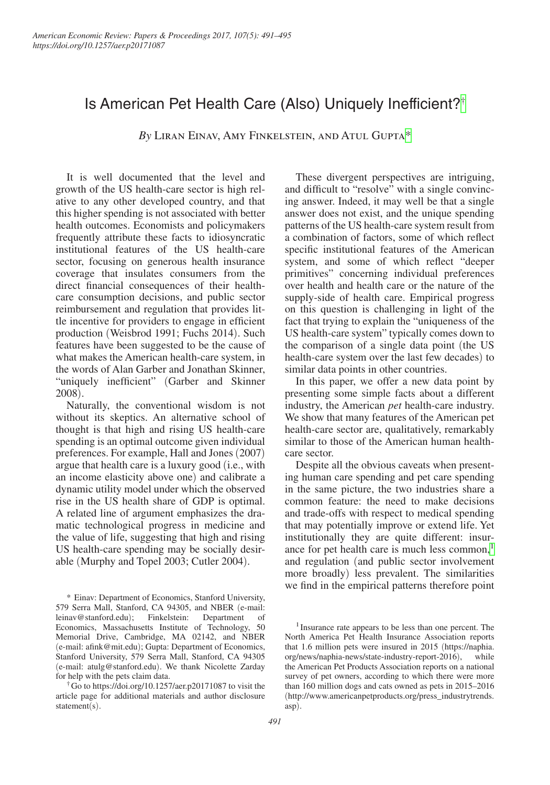# Is American Pet Health Care (Also) Uniquely Inefficient?[†](#page-0-0)

*By* Liran Einav, Amy Finkelstein, and Atul Gupt[a\\*](#page-0-1)

It is well documented that the level and growth of the US health-care sector is high relative to any other developed country, and that this higher spending is not associated with better health outcomes. Economists and policymakers frequently attribute these facts to idiosyncratic institutional features of the US health-care sector, focusing on generous health insurance coverage that insulates consumers from the direct financial consequences of their healthcare consumption decisions, and public sector reimbursement and regulation that provides little incentive for providers to engage in efficient production (Weisbrod 1991; Fuchs 2014). Such features have been suggested to be the cause of what makes the American health-care system, in the words of Alan Garber and Jonathan Skinner, "uniquely inefficient" (Garber and Skinner 2008).

Naturally, the conventional wisdom is not without its skeptics. An alternative school of thought is that high and rising US health-care spending is an optimal outcome given individual preferences. For example, Hall and Jones (2007) argue that health care is a luxury good (i.e., with an income elasticity above one) and calibrate a dynamic utility model under which the observed rise in the US health share of GDP is optimal. A related line of argument emphasizes the dramatic technological progress in medicine and the value of life, suggesting that high and rising US health-care spending may be socially desirable (Murphy and Topel 2003; Cutler 2004).

<span id="page-0-1"></span>\* Einav: Department of Economics, Stanford University, 579 Serra Mall, Stanford, CA 94305, and NBER (e-mail: [leinav@stanford.edu](mailto:leinav@stanford.edu)); Finkelstein: Department of Economics, Massachusetts Institute of Technology, 50 Memorial Drive, Cambridge, MA 02142, and NBER (e-mail: [afink@mit.edu](mailto:afink@mit.edu)); Gupta: Department of Economics, Stanford University, 579 Serra Mall, Stanford, CA 94305 (e-mail: [atulg@stanford.edu](mailto:atulg@stanford.edu)). We thank Nicolette Zarday for help with the pets claim data.

<span id="page-0-0"></span>†Go to https://doi.org/10.1257/aer.p20171087 to visit the article page for additional materials and author disclosure statement(s).

These divergent perspectives are intriguing, and difficult to "resolve" with a single convincing answer. Indeed, it may well be that a single answer does not exist, and the unique spending patterns of the US health-care system result from a combination of factors, some of which reflect specific institutional features of the American system, and some of which reflect "deeper primitives" concerning individual preferences over health and health care or the nature of the supply-side of health care. Empirical progress on this question is challenging in light of the fact that trying to explain the "uniqueness of the US health-care system" typically comes down to the comparison of a single data point (the US health-care system over the last few decades) to similar data points in other countries.

In this paper, we offer a new data point by presenting some simple facts about a different industry, the American *pet* health-care industry. We show that many features of the American pet health-care sector are, qualitatively, remarkably similar to those of the American human healthcare sector.

Despite all the obvious caveats when presenting human care spending and pet care spending in the same picture, the two industries share a common feature: the need to make decisions and trade-offs with respect to medical spending that may potentially improve or extend life. Yet institutionally they are quite different: insurance for pet health care is much less common,<sup>1</sup> and regulation (and public sector involvement more broadly) less prevalent. The similarities we find in the empirical patterns therefore point

<span id="page-0-2"></span><sup>&</sup>lt;sup>1</sup> Insurance rate appears to be less than one percent. The North America Pet Health Insurance Association reports that 1.6 million pets were insured in 2015 (https://naphia. [org/news/naphia-news/state-industry-report-2016](https://naphia.org/news/naphia-news/state-industry-report-2016/)), while the American Pet Products Association reports on a national survey of pet owners, according to which there were more than 160 million dogs and cats owned as pets in 2015–2016 (http://www.americanpetproducts.org/press\_industrytrends. asp).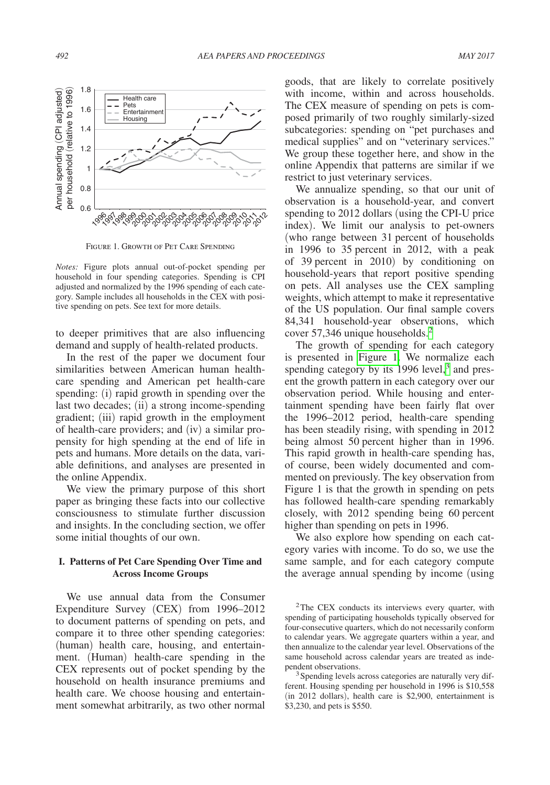

Figure 1. Growth of Pet Care Spending

*Notes:* Figure plots annual out-of-pocket spending per household in four spending categories. Spending is CPI adjusted and normalized by the 1996 spending of each category. Sample includes all households in the CEX with positive spending on pets. See text for more details.

to deeper primitives that are also influencing demand and supply of health-related products.

In the rest of the paper we document four similarities between American human healthcare spending and American pet health-care spending: (i) rapid growth in spending over the last two decades; (ii) a strong income-spending gradient; (iii) rapid growth in the employment of health-care providers; and (iv) a similar propensity for high spending at the end of life in pets and humans. More details on the data, variable definitions, and analyses are presented in the online Appendix.

We view the primary purpose of this short paper as bringing these facts into our collective consciousness to stimulate further discussion and insights. In the concluding section, we offer some initial thoughts of our own.

### **I. Patterns of Pet Care Spending Over Time and Across Income Groups**

We use annual data from the Consumer Expenditure Survey (CEX) from 1996–2012 to document patterns of spending on pets, and compare it to three other spending categories: (human) health care, housing, and entertainment. (Human) health-care spending in the CEX represents out of pocket spending by the household on health insurance premiums and health care. We choose housing and entertainment somewhat arbitrarily, as two other normal

goods, that are likely to correlate positively with income, within and across households. The CEX measure of spending on pets is composed primarily of two roughly similarly-sized subcategories: spending on "pet purchases and medical supplies" and on "veterinary services." We group these together here, and show in the online Appendix that patterns are similar if we restrict to just veterinary services.

We annualize spending, so that our unit of observation is a household-year, and convert spending to 2012 dollars (using the CPI-U price index). We limit our analysis to pet-owners (who range between 31 percent of households in 1996 to 35 percent in 2012, with a peak of 39 percent in 2010) by conditioning on household-years that report positive spending on pets. All analyses use the CEX sampling weights, which attempt to make it representative of the US population. Our final sample covers 84,341 household-year observations, which cover 57,346 unique households.<sup>[2](#page-1-0)</sup>

The growth of spending for each category is presented in Figure 1. We normalize each spending category by its  $1996$  level,<sup>[3](#page-1-1)</sup> and present the growth pattern in each category over our observation period. While housing and entertainment spending have been fairly flat over the 1996–2012 period, health-care spending has been steadily rising, with spending in 2012 being almost 50 percent higher than in 1996. This rapid growth in health-care spending has, of course, been widely documented and commented on previously. The key observation from Figure 1 is that the growth in spending on pets has followed health-care spending remarkably closely, with 2012 spending being 60 percent higher than spending on pets in 1996.

We also explore how spending on each category varies with income. To do so, we use the same sample, and for each category compute the average annual spending by income (using

<span id="page-1-0"></span>2The CEX conducts its interviews every quarter, with spending of participating households typically observed for four-consecutive quarters, which do not necessarily conform to calendar years. We aggregate quarters within a year, and then annualize to the calendar year level. Observations of the same household across calendar years are treated as independent observations. 3Spending levels across categories are naturally very dif-

<span id="page-1-1"></span>ferent. Housing spending per household in 1996 is \$10,558 (in 2012 dollars), health care is \$2,900, entertainment is \$3,230, and pets is \$550.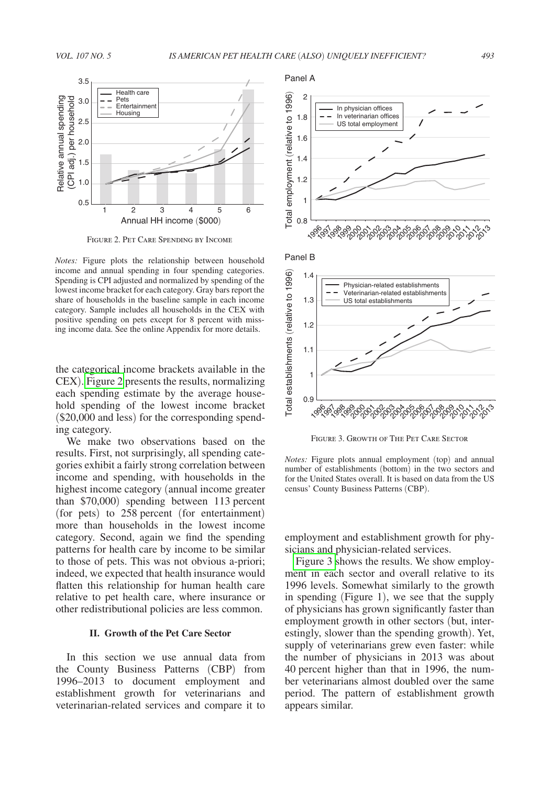

Figure 2. Pet Care Spending by Income

*Notes:* Figure plots the relationship between household income and annual spending in four spending categories. Spending is CPI adjusted and normalized by spending of the lowest income bracket for each category. Gray bars report the share of households in the baseline sample in each income category. Sample includes all households in the CEX with positive spending on pets except for 8 percent with missing income data. See the online Appendix for more details.

the categorical income brackets available in the CEX). Figure 2 presents the results, normalizing each spending estimate by the average household spending of the lowest income bracket (\$20,000 and less) for the corresponding spending category.

We make two observations based on the results. First, not surprisingly, all spending categories exhibit a fairly strong correlation between income and spending, with households in the highest income category (annual income greater than \$70,000) spending between 113 percent (for pets) to 258 percent (for entertainment) more than households in the lowest income category. Second, again we find the spending patterns for health care by income to be similar to those of pets. This was not obvious a-priori; indeed, we expected that health insurance would flatten this relationship for human health care relative to pet health care, where insurance or other redistributional policies are less common.

## **II. Growth of the Pet Care Sector**

In this section we use annual data from the County Business Patterns (CBP) from 1996–2013 to document employment and establishment growth for veterinarians and veterinarian-related services and compare it to



Figure 3. Growth of The Pet Care Sector

*Notes:* Figure plots annual employment (top) and annual number of establishments (bottom) in the two sectors and for the United States overall. It is based on data from the US census' County Business Patterns (CBP).

employment and establishment growth for physicians and physician-related services.

Figure 3 shows the results. We show employment in each sector and overall relative to its 1996 levels. Somewhat similarly to the growth in spending (Figure 1), we see that the supply of physicians has grown significantly faster than employment growth in other sectors (but, interestingly, slower than the spending growth). Yet, supply of veterinarians grew even faster: while the number of physicians in 2013 was about 40 percent higher than that in 1996, the number veterinarians almost doubled over the same period. The pattern of establishment growth appears similar.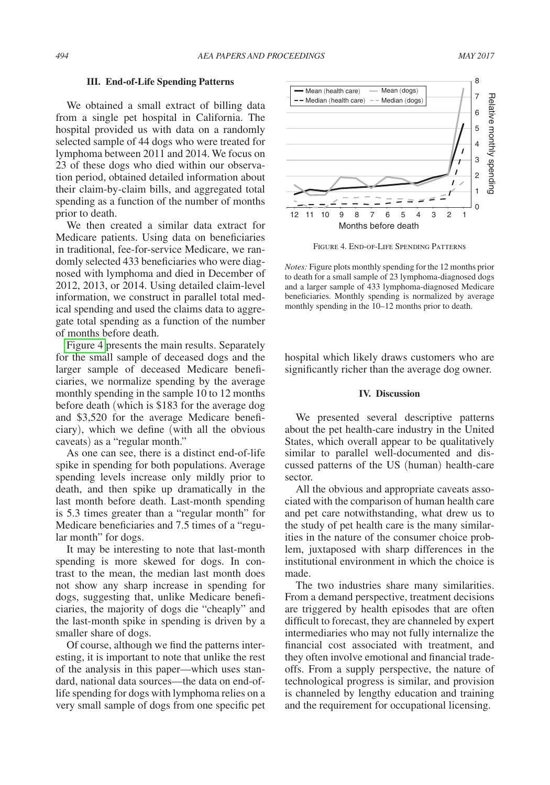#### **III. End-of-Life Spending Patterns**

We obtained a small extract of billing data from a single pet hospital in California. The hospital provided us with data on a randomly selected sample of 44 dogs who were treated for lymphoma between 2011 and 2014. We focus on 23 of these dogs who died within our observation period, obtained detailed information about their claim-by-claim bills, and aggregated total spending as a function of the number of months prior to death.

We then created a similar data extract for Medicare patients. Using data on beneficiaries in traditional, fee-for-service Medicare, we randomly selected 433 beneficiaries who were diagnosed with lymphoma and died in December of 2012, 2013, or 2014. Using detailed claim-level information, we construct in parallel total medical spending and used the claims data to aggregate total spending as a function of the number of months before death.

Figure 4 presents the main results. Separately for the small sample of deceased dogs and the larger sample of deceased Medicare beneficiaries, we normalize spending by the average monthly spending in the sample 10 to 12 months before death (which is \$183 for the average dog and \$3,520 for the average Medicare beneficiary), which we define (with all the obvious caveats) as a "regular month."

As one can see, there is a distinct end-of-life spike in spending for both populations. Average spending levels increase only mildly prior to death, and then spike up dramatically in the last month before death. Last-month spending is 5.3 times greater than a "regular month" for Medicare beneficiaries and 7.5 times of a "regular month" for dogs.

It may be interesting to note that last-month spending is more skewed for dogs. In contrast to the mean, the median last month does not show any sharp increase in spending for dogs, suggesting that, unlike Medicare beneficiaries, the majority of dogs die "cheaply" and the last-month spike in spending is driven by a smaller share of dogs.

Of course, although we find the patterns interesting, it is important to note that unlike the rest of the analysis in this paper—which uses standard, national data sources—the data on end-oflife spending for dogs with lymphoma relies on a very small sample of dogs from one specific pet



Figure 4. End-of-Life Spending Patterns

*Notes:* Figure plots monthly spending for the 12 months prior to death for a small sample of 23 lymphoma-diagnosed dogs and a larger sample of 433 lymphoma-diagnosed Medicare beneficiaries. Monthly spending is normalized by average monthly spending in the 10–12 months prior to death.

hospital which likely draws customers who are significantly richer than the average dog owner.

#### **IV. Discussion**

We presented several descriptive patterns about the pet health-care industry in the United States, which overall appear to be qualitatively similar to parallel well-documented and discussed patterns of the US (human) health-care sector.

All the obvious and appropriate caveats associated with the comparison of human health care and pet care notwithstanding, what drew us to the study of pet health care is the many similarities in the nature of the consumer choice problem, juxtaposed with sharp differences in the institutional environment in which the choice is made.

The two industries share many similarities. From a demand perspective, treatment decisions are triggered by health episodes that are often difficult to forecast, they are channeled by expert intermediaries who may not fully internalize the financial cost associated with treatment, and they often involve emotional and financial tradeoffs. From a supply perspective, the nature of technological progress is similar, and provision is channeled by lengthy education and training and the requirement for occupational licensing.